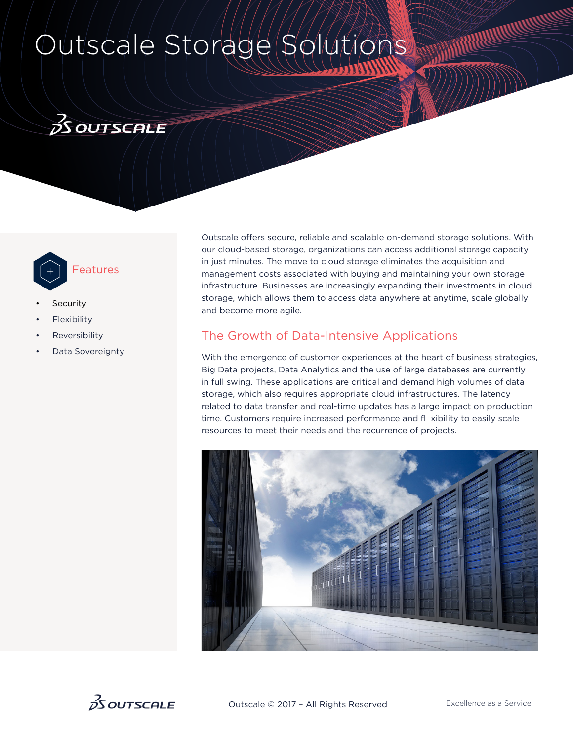# Outscale Storage Solutions





- **Security**
- **Flexibility**
- **Reversibility**
- Data Sovereignty

Outscale offers secure, reliable and scalable on-demand storage solutions. With our cloud-based storage, organizations can access additional storage capacity in just minutes. The move to cloud storage eliminates the acquisition and management costs associated with buying and maintaining your own storage infrastructure. Businesses are increasingly expanding their investments in cloud storage, which allows them to access data anywhere at anytime, scale globally and become more agile.

## The Growth of Data-Intensive Applications

With the emergence of customer experiences at the heart of business strategies, Big Data projects, Data Analytics and the use of large databases are currently in full swing. These applications are critical and demand high volumes of data storage, which also requires appropriate cloud infrastructures. The latency related to data transfer and real-time updates has a large impact on production time. Customers require increased performance and fl xibility to easily scale resources to meet their needs and the recurrence of projects.



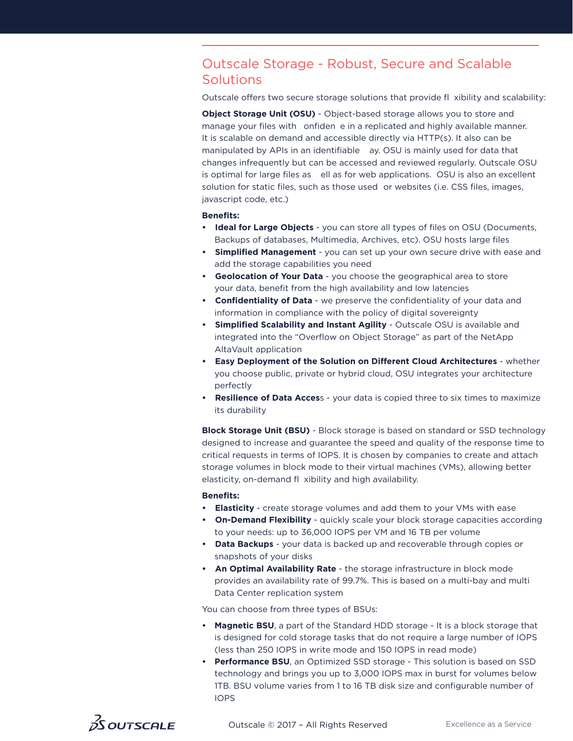## Outscale Storage - Robust, Secure and Scalable **Solutions**

Outscale offers two secure storage solutions that provide fl xibility and scalability:

**Object Storage Unit (OSU)** - Object-based storage allows you to store and manage your files with onfiden e in a replicated and highly available manner. It is scalable on demand and accessible directly via HTTP(s). It also can be manipulated by APIs in an identifiable ay. OSU is mainly used for data that changes infrequently but can be accessed and reviewed regularly. Outscale OSU is optimal for large files as ell as for web applications. OSU is also an excellent solution for static files, such as those used or websites (i.e. CSS files, images, javascript code, etc.)

#### **Benefits:**

- **• Ideal for Large Objects** you can store all types of files on OSU (Documents, Backups of databases, Multimedia, Archives, etc). OSU hosts large files
- **• Simplified Management** you can set up your own secure drive with ease and add the storage capabilities you need
- **Geolocation of Your Data** you choose the geographical area to store your data, benefit from the high availability and low latencies
- **• Confidentiality of Data** we preserve the confidentiality of your data and information in compliance with the policy of digital sovereignty
- **• Simplified Scalability and Instant Agility** Outscale OSU is available and integrated into the "Overflow on Object Storage" as part of the NetApp AltaVault application
- **• Easy Deployment of the Solution on Different Cloud Architectures** whether you choose public, private or hybrid cloud, OSU integrates your architecture perfectly
- **• Resilience of Data Acces**s your data is copied three to six times to maximize its durability

**Block Storage Unit (BSU)** - Block storage is based on standard or SSD technology designed to increase and guarantee the speed and quality of the response time to critical requests in terms of IOPS. It is chosen by companies to create and attach storage volumes in block mode to their virtual machines (VMs), allowing better elasticity, on-demand fl xibility and high availability.

#### **Benefits:**

- **• Elasticity** create storage volumes and add them to your VMs with ease
- **• On-Demand Flexibility** quickly scale your block storage capacities according to your needs: up to 36,000 IOPS per VM and 16 TB per volume
- **• Data Backups**  your data is backed up and recoverable through copies or snapshots of your disks
- **• An Optimal Availability Rate** the storage infrastructure in block mode provides an availability rate of 99.7%. This is based on a multi-bay and multi Data Center replication system

You can choose from three types of BSUs:

- **Magnetic BSU**, a part of the Standard HDD storage It is a block storage that is designed for cold storage tasks that do not require a large number of IOPS (less than 250 IOPS in write mode and 150 IOPS in read mode)
- **Performance BSU**, an Optimized SSD storage This solution is based on SSD technology and brings you up to 3,000 IOPS max in burst for volumes below 1TB. BSU volume varies from 1 to 16 TB disk size and configurable number of IOPS